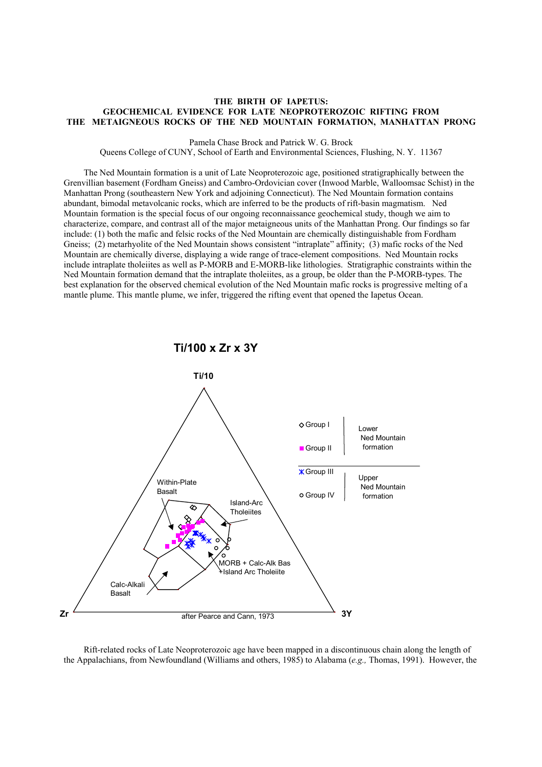## **THE BIRTH OF IAPETUS: GEOCHEMICAL EVIDENCE FOR LATE NEOPROTEROZOIC RIFTING FROM THE METAIGNEOUS ROCKS OF THE NED MOUNTAIN FORMATION, MANHATTAN PRONG**

Pamela Chase Brock and Patrick W. G. Brock

Queens College of CUNY, School of Earth and Environmental Sciences, Flushing, N. Y. 11367

The Ned Mountain formation is a unit of Late Neoproterozoic age, positioned stratigraphically between the Grenvillian basement (Fordham Gneiss) and Cambro-Ordovician cover (Inwood Marble, Walloomsac Schist) in the Manhattan Prong (southeastern New York and adjoining Connecticut). The Ned Mountain formation contains abundant, bimodal metavolcanic rocks, which are inferred to be the products of rift-basin magmatism. Ned Mountain formation is the special focus of our ongoing reconnaissance geochemical study, though we aim to characterize, compare, and contrast all of the major metaigneous units of the Manhattan Prong. Our findings so far include: (1) both the mafic and felsic rocks of the Ned Mountain are chemically distinguishable from Fordham Gneiss; (2) metarhyolite of the Ned Mountain shows consistent "intraplate" affinity; (3) mafic rocks of the Ned Mountain are chemically diverse, displaying a wide range of trace-element compositions. Ned Mountain rocks include intraplate tholeiites as well as P-MORB and E-MORB-like lithologies. Stratigraphic constraints within the Ned Mountain formation demand that the intraplate tholeiites, as a group, be older than the P-MORB-types. The best explanation for the observed chemical evolution of the Ned Mountain mafic rocks is progressive melting of a mantle plume. This mantle plume, we infer, triggered the rifting event that opened the Iapetus Ocean.



Rift-related rocks of Late Neoproterozoic age have been mapped in a discontinuous chain along the length of the Appalachians, from Newfoundland (Williams and others, 1985) to Alabama (*e.g.,* Thomas, 1991). However, the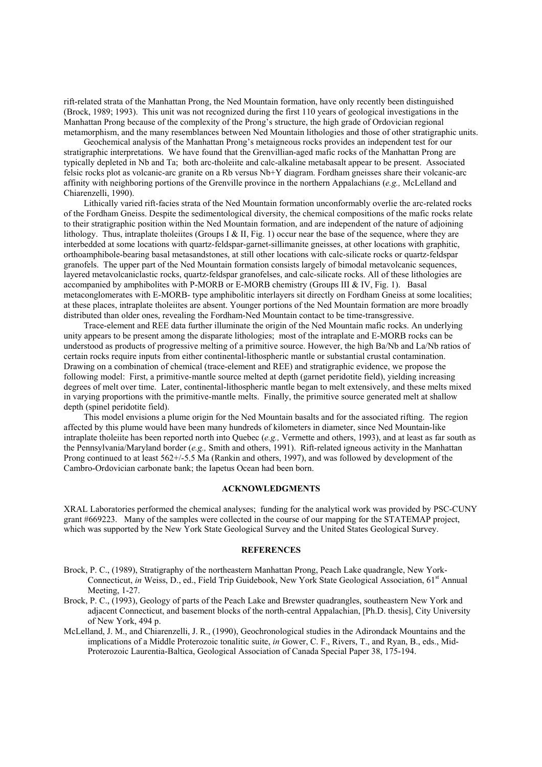rift-related strata of the Manhattan Prong, the Ned Mountain formation, have only recently been distinguished (Brock, 1989; 1993). This unit was not recognized during the first 110 years of geological investigations in the Manhattan Prong because of the complexity of the Prong's structure, the high grade of Ordovician regional metamorphism, and the many resemblances between Ned Mountain lithologies and those of other stratigraphic units.

Geochemical analysis of the Manhattan Prong's metaigneous rocks provides an independent test for our stratigraphic interpretations. We have found that the Grenvillian-aged mafic rocks of the Manhattan Prong are typically depleted in Nb and Ta; both arc-tholeiite and calc-alkaline metabasalt appear to be present. Associated felsic rocks plot as volcanic-arc granite on a Rb versus Nb+Y diagram. Fordham gneisses share their volcanic-arc affinity with neighboring portions of the Grenville province in the northern Appalachians (*e.g.,* McLelland and Chiarenzelli, 1990).

Lithically varied rift-facies strata of the Ned Mountain formation unconformably overlie the arc-related rocks of the Fordham Gneiss. Despite the sedimentological diversity, the chemical compositions of the mafic rocks relate to their stratigraphic position within the Ned Mountain formation, and are independent of the nature of adjoining lithology. Thus, intraplate tholeiites (Groups I & II, Fig. 1) occur near the base of the sequence, where they are interbedded at some locations with quartz-feldspar-garnet-sillimanite gneisses, at other locations with graphitic, orthoamphibole-bearing basal metasandstones, at still other locations with calc-silicate rocks or quartz-feldspar granofels. The upper part of the Ned Mountain formation consists largely of bimodal metavolcanic sequences, layered metavolcaniclastic rocks, quartz-feldspar granofelses, and calc-silicate rocks. All of these lithologies are accompanied by amphibolites with P-MORB or E-MORB chemistry (Groups III & IV, Fig. 1). Basal metaconglomerates with E-MORB- type amphibolitic interlayers sit directly on Fordham Gneiss at some localities; at these places, intraplate tholeiites are absent. Younger portions of the Ned Mountain formation are more broadly distributed than older ones, revealing the Fordham-Ned Mountain contact to be time-transgressive.

Trace-element and REE data further illuminate the origin of the Ned Mountain mafic rocks. An underlying unity appears to be present among the disparate lithologies; most of the intraplate and E-MORB rocks can be understood as products of progressive melting of a primitive source. However, the high Ba/Nb and La/Nb ratios of certain rocks require inputs from either continental-lithospheric mantle or substantial crustal contamination. Drawing on a combination of chemical (trace-element and REE) and stratigraphic evidence, we propose the following model: First, a primitive-mantle source melted at depth (garnet peridotite field), yielding increasing degrees of melt over time. Later, continental-lithospheric mantle began to melt extensively, and these melts mixed in varying proportions with the primitive-mantle melts. Finally, the primitive source generated melt at shallow depth (spinel peridotite field).

This model envisions a plume origin for the Ned Mountain basalts and for the associated rifting. The region affected by this plume would have been many hundreds of kilometers in diameter, since Ned Mountain-like intraplate tholeiite has been reported north into Quebec (*e.g.,* Vermette and others, 1993), and at least as far south as the Pennsylvania/Maryland border (*e.g.,* Smith and others, 1991). Rift-related igneous activity in the Manhattan Prong continued to at least 562+/-5.5 Ma (Rankin and others, 1997), and was followed by development of the Cambro-Ordovician carbonate bank; the Iapetus Ocean had been born.

## **ACKNOWLEDGMENTS**

XRAL Laboratories performed the chemical analyses; funding for the analytical work was provided by PSC-CUNY grant #669223. Many of the samples were collected in the course of our mapping for the STATEMAP project, which was supported by the New York State Geological Survey and the United States Geological Survey.

## **REFERENCES**

- Brock, P. C., (1989), Stratigraphy of the northeastern Manhattan Prong, Peach Lake quadrangle, New York-Connecticut, *in* Weiss, D., ed., Field Trip Guidebook, New York State Geological Association, 61<sup>st</sup> Annual Meeting, 1-27.
- Brock, P. C., (1993), Geology of parts of the Peach Lake and Brewster quadrangles, southeastern New York and adjacent Connecticut, and basement blocks of the north-central Appalachian, [Ph.D. thesis], City University of New York, 494 p.
- McLelland, J. M., and Chiarenzelli, J. R., (1990), Geochronological studies in the Adirondack Mountains and the implications of a Middle Proterozoic tonalitic suite, *in* Gower, C. F., Rivers, T., and Ryan, B., eds., Mid-Proterozoic Laurentia-Baltica, Geological Association of Canada Special Paper 38, 175-194.